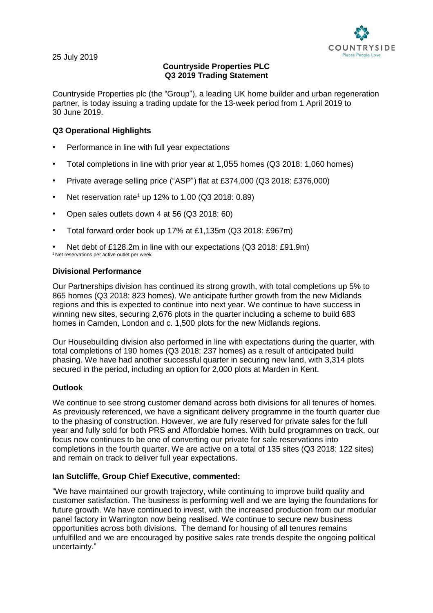

25 July 2019

# **Countryside Properties PLC Q3 2019 Trading Statement**

Countryside Properties plc (the "Group"), a leading UK home builder and urban regeneration partner, is today issuing a trading update for the 13-week period from 1 April 2019 to 30 June 2019.

## **Q3 Operational Highlights**

- Performance in line with full year expectations
- Total completions in line with prior year at 1,055 homes (Q3 2018: 1,060 homes)
- Private average selling price ("ASP") flat at £374,000 (Q3 2018: £376,000)
- Net reservation rate<sup>1</sup> up 12% to 1.00 (Q3 2018: 0.89)
- Open sales outlets down 4 at 56 (Q3 2018: 60)
- Total forward order book up 17% at £1,135m (Q3 2018: £967m)

• Net debt of £128.2m in line with our expectations (Q3 2018: £91.9m) <sup>1</sup> Net reservations per active outlet per week

### **Divisional Performance**

Our Partnerships division has continued its strong growth, with total completions up 5% to 865 homes (Q3 2018: 823 homes). We anticipate further growth from the new Midlands regions and this is expected to continue into next year. We continue to have success in winning new sites, securing 2,676 plots in the quarter including a scheme to build 683 homes in Camden, London and c. 1,500 plots for the new Midlands regions.

Our Housebuilding division also performed in line with expectations during the quarter, with total completions of 190 homes (Q3 2018: 237 homes) as a result of anticipated build phasing. We have had another successful quarter in securing new land, with 3,314 plots secured in the period, including an option for 2,000 plots at Marden in Kent.

### **Outlook**

We continue to see strong customer demand across both divisions for all tenures of homes. As previously referenced, we have a significant delivery programme in the fourth quarter due to the phasing of construction. However, we are fully reserved for private sales for the full year and fully sold for both PRS and Affordable homes. With build programmes on track, our focus now continues to be one of converting our private for sale reservations into completions in the fourth quarter. We are active on a total of 135 sites (Q3 2018: 122 sites) and remain on track to deliver full year expectations.

### **Ian Sutcliffe, Group Chief Executive, commented:**

"We have maintained our growth trajectory, while continuing to improve build quality and customer satisfaction. The business is performing well and we are laying the foundations for future growth. We have continued to invest, with the increased production from our modular panel factory in Warrington now being realised. We continue to secure new business opportunities across both divisions. The demand for housing of all tenures remains unfulfilled and we are encouraged by positive sales rate trends despite the ongoing political uncertainty."